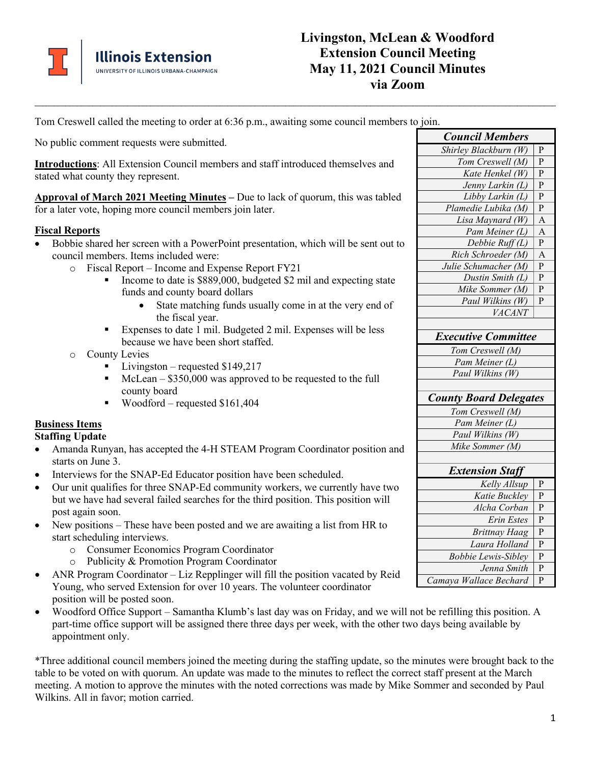

# **Livingston, McLean & Woodford Extension Council Meeting May 11, 2021 Council Minutes via Zoom**

Tom Creswell called the meeting to order at 6:36 p.m., awaiting some council members to join.

**\_\_\_\_\_\_\_\_\_\_\_\_\_\_\_\_\_\_\_\_\_\_\_\_\_\_\_\_\_\_\_\_\_\_\_\_\_\_\_\_\_\_\_\_\_\_\_\_\_\_\_\_\_\_\_\_\_\_\_\_\_\_\_\_\_\_\_\_\_\_\_\_\_\_\_\_\_\_\_\_\_\_\_\_\_\_\_\_\_\_\_\_\_\_\_\_\_\_\_\_\_\_\_\_\_\_\_\_\_\_\_\_\_\_\_\_\_\_\_\_\_\_\_\_\_\_\_\_\_\_\_\_\_\_\_**

No public comment requests were submitted.

**Introductions**: All Extension Council members and staff introduced themselves and stated what county they represent.

**Approval of March 2021 Meeting Minutes –** Due to lack of quorum, this was tabled for a later vote, hoping more council members join later.

## **Fiscal Reports**

- Bobbie shared her screen with a PowerPoint presentation, which will be sent out to council members. Items included were:
	- o Fiscal Report Income and Expense Report FY21
		- Income to date is \$889,000, budgeted \$2 mil and expecting state funds and county board dollars
			- State matching funds usually come in at the very end of the fiscal year.
		- Expenses to date 1 mil. Budgeted 2 mil. Expenses will be less because we have been short staffed.
	- o County Levies
		- $\blacksquare$  Livingston requested \$149,217
		- $\blacksquare$  McLean \$350,000 was approved to be requested to the full county board
		- Woodford requested  $$161,404$

# **Business Items**

**Staffing Update**

- Amanda Runyan, has accepted the 4-H STEAM Program Coordinator position and starts on June 3.
- Interviews for the SNAP-Ed Educator position have been scheduled.
- Our unit qualifies for three SNAP-Ed community workers, we currently have two but we have had several failed searches for the third position. This position will post again soon.
- New positions These have been posted and we are awaiting a list from HR to start scheduling interviews.
	- o Consumer Economics Program Coordinator
	- o Publicity & Promotion Program Coordinator
- ANR Program Coordinator Liz Repplinger will fill the position vacated by Reid Young, who served Extension for over 10 years. The volunteer coordinator position will be posted soon.
- Woodford Office Support Samantha Klumb's last day was on Friday, and we will not be refilling this position. A part-time office support will be assigned there three days per week, with the other two days being available by appointment only.

\*Three additional council members joined the meeting during the staffing update, so the minutes were brought back to the table to be voted on with quorum. An update was made to the minutes to reflect the correct staff present at the March meeting. A motion to approve the minutes with the noted corrections was made by Mike Sommer and seconded by Paul Wilkins. All in favor; motion carried.

| <b>Council Members</b>        |              |
|-------------------------------|--------------|
| Shirley Blackburn (W)         | P            |
| Tom Creswell (M)              | P            |
| Kate Henkel (W)               | P            |
| Jenny Larkin (L)              | P            |
| Libby Larkin (L)              | P            |
| Plamedie Lubika (M)           | $\mathbf{P}$ |
| Lisa Maynard (W)              | A            |
| Pam Meiner (L)                | A            |
| Debbie Ruff(L)                | $\mathbf P$  |
| Rich Schroeder (M)            | A            |
| Julie Schumacher (M)          | P            |
| Dustin Smith (L)              | $\mathbf P$  |
| Mike Sommer (M)               | $\mathbf{P}$ |
| Paul Wilkins (W)              | P            |
| VACANT                        |              |
|                               |              |
| <b>Executive Committee</b>    |              |
| Tom Creswell (M)              |              |
| Pam Meiner (L)                |              |
| Paul Wilkins (W)              |              |
|                               |              |
| <b>County Board Delegates</b> |              |
| Tom Creswell (M)              |              |
| Pam Meiner (L)                |              |
| Paul Wilkins (W)              |              |
| Mike Sommer (M)               |              |
|                               |              |
| <b>Extension Staff</b>        |              |
| Kelly Allsup                  | P            |
| Katie Buckley                 | P            |
| Alcha Corban                  | P            |
| Erin Estes                    | P            |
| <b>Brittnay Haag</b>          | P            |
| Laura Holland                 | P            |
| <b>Bobbie Lewis-Sibley</b>    | P            |
| Jenna Smith                   | P            |
|                               |              |
| Camaya Wallace Bechard        | P            |